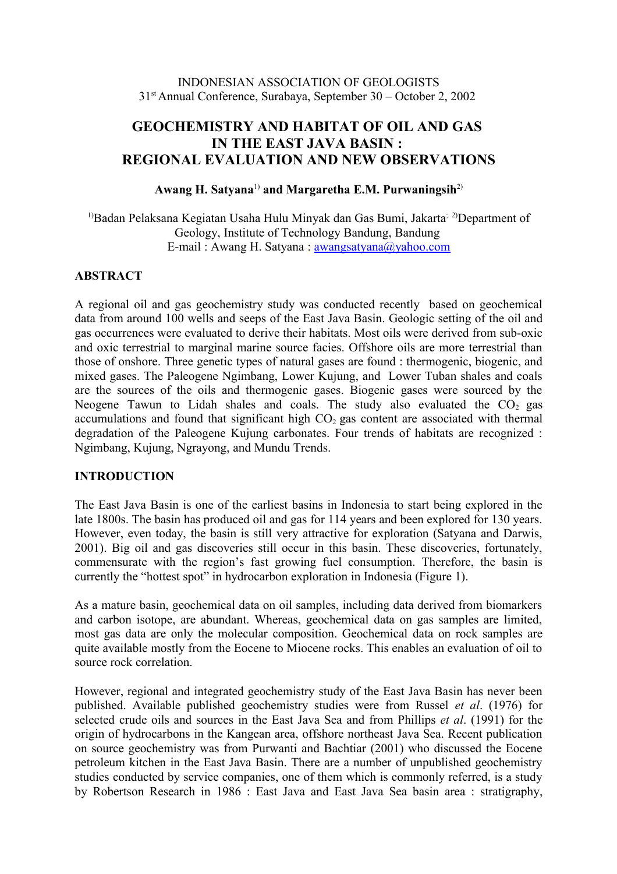### INDONESIAN ASSOCIATION OF GEOLOGISTS 31st Annual Conference, Surabaya, September 30 – October 2, 2002

# **GEOCHEMISTRY AND HABITAT OF OIL AND GAS IN THE EAST JAVA BASIN : REGIONAL EVALUATION AND NEW OBSERVATIONS**

### **Awang H. Satyana**1) **and Margaretha E.M. Purwaningsih**2)

<sup>1)</sup>Badan Pelaksana Kegiatan Usaha Hulu Minyak dan Gas Bumi, Jakarta<sup>; 2)</sup>Department of Geology, Institute of Technology Bandung, Bandung E-mail : Awang H. Satyana : [awangsatyana@yahoo.com](mailto:awangsatyana@yahoo.com)

## **ABSTRACT**

A regional oil and gas geochemistry study was conducted recently based on geochemical data from around 100 wells and seeps of the East Java Basin. Geologic setting of the oil and gas occurrences were evaluated to derive their habitats. Most oils were derived from sub-oxic and oxic terrestrial to marginal marine source facies. Offshore oils are more terrestrial than those of onshore. Three genetic types of natural gases are found : thermogenic, biogenic, and mixed gases. The Paleogene Ngimbang, Lower Kujung, and Lower Tuban shales and coals are the sources of the oils and thermogenic gases. Biogenic gases were sourced by the Neogene Tawun to Lidah shales and coals. The study also evaluated the  $CO<sub>2</sub>$  gas accumulations and found that significant high  $CO<sub>2</sub>$  gas content are associated with thermal degradation of the Paleogene Kujung carbonates. Four trends of habitats are recognized : Ngimbang, Kujung, Ngrayong, and Mundu Trends.

## **INTRODUCTION**

The East Java Basin is one of the earliest basins in Indonesia to start being explored in the late 1800s. The basin has produced oil and gas for 114 years and been explored for 130 years. However, even today, the basin is still very attractive for exploration (Satyana and Darwis, 2001). Big oil and gas discoveries still occur in this basin. These discoveries, fortunately, commensurate with the region's fast growing fuel consumption. Therefore, the basin is currently the "hottest spot" in hydrocarbon exploration in Indonesia (Figure 1).

As a mature basin, geochemical data on oil samples, including data derived from biomarkers and carbon isotope, are abundant. Whereas, geochemical data on gas samples are limited, most gas data are only the molecular composition. Geochemical data on rock samples are quite available mostly from the Eocene to Miocene rocks. This enables an evaluation of oil to source rock correlation.

However, regional and integrated geochemistry study of the East Java Basin has never been published. Available published geochemistry studies were from Russel *et al*. (1976) for selected crude oils and sources in the East Java Sea and from Phillips *et al*. (1991) for the origin of hydrocarbons in the Kangean area, offshore northeast Java Sea. Recent publication on source geochemistry was from Purwanti and Bachtiar (2001) who discussed the Eocene petroleum kitchen in the East Java Basin. There are a number of unpublished geochemistry studies conducted by service companies, one of them which is commonly referred, is a study by Robertson Research in 1986 : East Java and East Java Sea basin area : stratigraphy,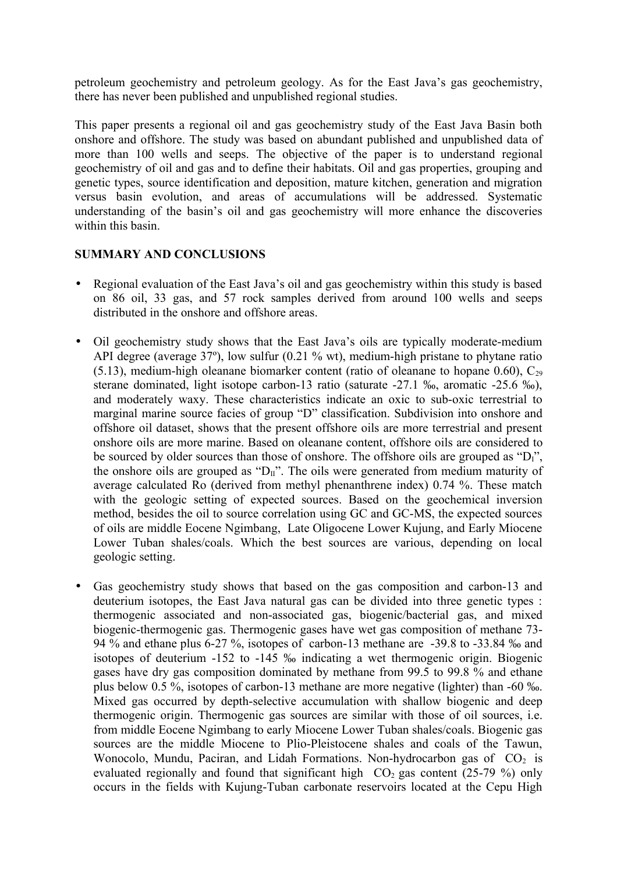petroleum geochemistry and petroleum geology. As for the East Java's gas geochemistry, there has never been published and unpublished regional studies.

This paper presents a regional oil and gas geochemistry study of the East Java Basin both onshore and offshore. The study was based on abundant published and unpublished data of more than 100 wells and seeps. The objective of the paper is to understand regional geochemistry of oil and gas and to define their habitats. Oil and gas properties, grouping and genetic types, source identification and deposition, mature kitchen, generation and migration versus basin evolution, and areas of accumulations will be addressed. Systematic understanding of the basin's oil and gas geochemistry will more enhance the discoveries within this basin.

# **SUMMARY AND CONCLUSIONS**

- Regional evaluation of the East Java's oil and gas geochemistry within this study is based on 86 oil, 33 gas, and 57 rock samples derived from around 100 wells and seeps distributed in the onshore and offshore areas.
- Oil geochemistry study shows that the East Java's oils are typically moderate-medium API degree (average 37º), low sulfur (0.21 % wt), medium-high pristane to phytane ratio (5.13), medium-high oleanane biomarker content (ratio of oleanane to hopane 0.60),  $C_{29}$ sterane dominated, light isotope carbon-13 ratio (saturate -27.1 ‰, aromatic -25.6 ‰), and moderately waxy. These characteristics indicate an oxic to sub-oxic terrestrial to marginal marine source facies of group "D" classification. Subdivision into onshore and offshore oil dataset, shows that the present offshore oils are more terrestrial and present onshore oils are more marine. Based on oleanane content, offshore oils are considered to be sourced by older sources than those of onshore. The offshore oils are grouped as " $D_1$ ", the onshore oils are grouped as " $D_{II}$ ". The oils were generated from medium maturity of average calculated Ro (derived from methyl phenanthrene index) 0.74 %. These match with the geologic setting of expected sources. Based on the geochemical inversion method, besides the oil to source correlation using GC and GC-MS, the expected sources of oils are middle Eocene Ngimbang, Late Oligocene Lower Kujung, and Early Miocene Lower Tuban shales/coals. Which the best sources are various, depending on local geologic setting.
- Gas geochemistry study shows that based on the gas composition and carbon-13 and deuterium isotopes, the East Java natural gas can be divided into three genetic types : thermogenic associated and non-associated gas, biogenic/bacterial gas, and mixed biogenic-thermogenic gas. Thermogenic gases have wet gas composition of methane 73- 94 % and ethane plus 6-27 %, isotopes of carbon-13 methane are -39.8 to -33.84 ‰ and isotopes of deuterium -152 to -145 ‰ indicating a wet thermogenic origin. Biogenic gases have dry gas composition dominated by methane from 99.5 to 99.8 % and ethane plus below 0.5 %, isotopes of carbon-13 methane are more negative (lighter) than -60 ‰. Mixed gas occurred by depth-selective accumulation with shallow biogenic and deep thermogenic origin. Thermogenic gas sources are similar with those of oil sources, i.e. from middle Eocene Ngimbang to early Miocene Lower Tuban shales/coals. Biogenic gas sources are the middle Miocene to Plio-Pleistocene shales and coals of the Tawun, Wonocolo, Mundu, Paciran, and Lidah Formations. Non-hydrocarbon gas of  $CO<sub>2</sub>$  is evaluated regionally and found that significant high  $CO<sub>2</sub>$  gas content (25-79 %) only occurs in the fields with Kujung-Tuban carbonate reservoirs located at the Cepu High